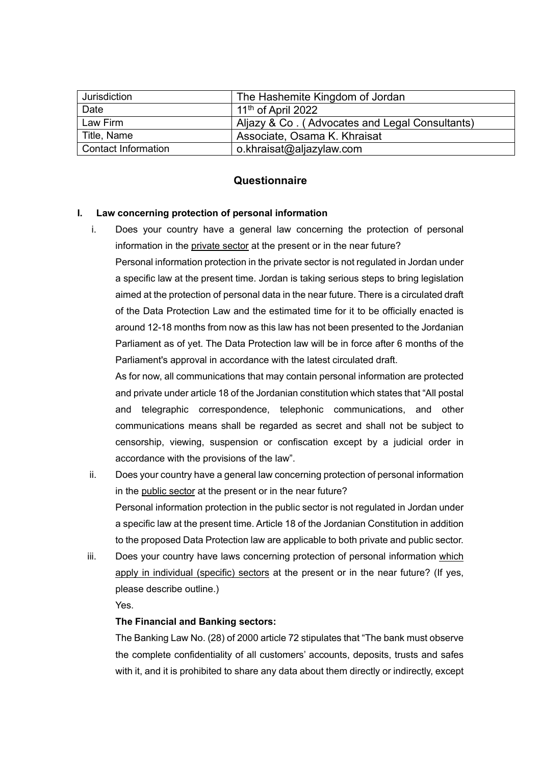| Jurisdiction               | The Hashemite Kingdom of Jordan                |
|----------------------------|------------------------------------------------|
| Date                       | 11 <sup>th</sup> of April 2022                 |
| Law Firm                   | Aljazy & Co. (Advocates and Legal Consultants) |
| Title, Name                | Associate, Osama K. Khraisat                   |
| <b>Contact Information</b> | o.khraisat@aljazylaw.com                       |

# **Questionnaire**

## **I. Law concerning protection of personal information**

i. Does your country have a general law concerning the protection of personal information in the private sector at the present or in the near future?

Personal information protection in the private sector is not regulated in Jordan under a specific law at the present time. Jordan is taking serious steps to bring legislation aimed at the protection of personal data in the near future. There is a circulated draft of the Data Protection Law and the estimated time for it to be officially enacted is around 12-18 months from now as this law has not been presented to the Jordanian Parliament as of yet. The Data Protection law will be in force after 6 months of the Parliament's approval in accordance with the latest circulated draft.

As for now, all communications that may contain personal information are protected and private under article 18 of the Jordanian constitution which states that "All postal and telegraphic correspondence, telephonic communications, and other communications means shall be regarded as secret and shall not be subject to censorship, viewing, suspension or confiscation except by a judicial order in accordance with the provisions of the law".

- ii. Does your country have a general law concerning protection of personal information in the public sector at the present or in the near future? Personal information protection in the public sector is not regulated in Jordan under a specific law at the present time. Article 18 of the Jordanian Constitution in addition to the proposed Data Protection law are applicable to both private and public sector.
- iii. Does your country have laws concerning protection of personal information which apply in individual (specific) sectors at the present or in the near future? (If yes, please describe outline.)

Yes.

### **The Financial and Banking sectors:**

The Banking Law No. (28) of 2000 article 72 stipulates that "The bank must observe the complete confidentiality of all customers' accounts, deposits, trusts and safes with it, and it is prohibited to share any data about them directly or indirectly, except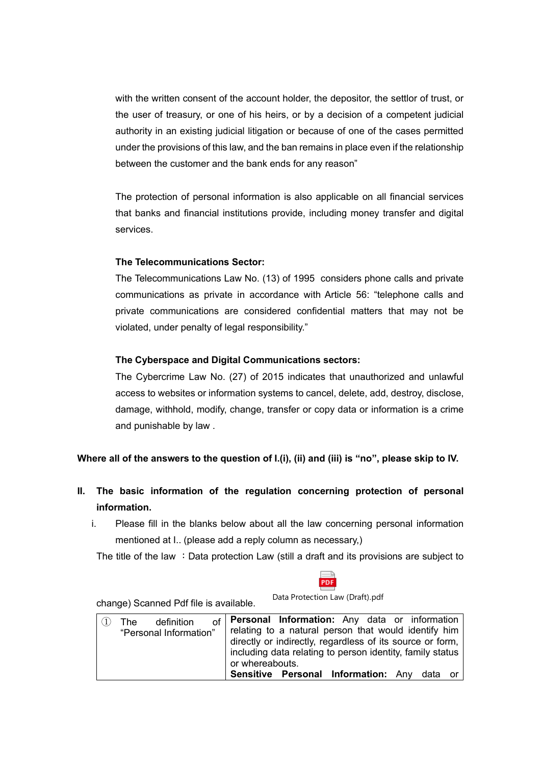with the written consent of the account holder, the depositor, the settlor of trust, or the user of treasury, or one of his heirs, or by a decision of a competent judicial authority in an existing judicial litigation or because of one of the cases permitted under the provisions of this law, and the ban remains in place even if the relationship between the customer and the bank ends for any reason"

The protection of personal information is also applicable on all financial services that banks and financial institutions provide, including money transfer and digital services.

### **The Telecommunications Sector:**

The Telecommunications Law No. (13) of 1995 considers phone calls and private communications as private in accordance with Article 56: "telephone calls and private communications are considered confidential matters that may not be violated, under penalty of legal responsibility."

## **The Cyberspace and Digital Communications sectors:**

The Cybercrime Law No. (27) of 2015 indicates that unauthorized and unlawful access to websites or information systems to cancel, delete, add, destroy, disclose, damage, withhold, modify, change, transfer or copy data or information is a crime and punishable by law .

# **Where all of the answers to the question of I.(i), (ii) and (iii) is "no", please skip to IV.**

- **II. The basic information of the regulation concerning protection of personal information.**
	- i. Please fill in the blanks below about all the law concerning personal information mentioned at I.. (please add a reply column as necessary,)

The title of the law : Data protection Law (still a draft and its provisions are subject to



change) Scanned Pdf file is available. Data Protection Law (Draft).pdf

|  | The . | definition             | of <sup>1</sup> |                                                           | Personal Information: Any data or information<br>relating to a natural person that would identify him |  |  |  |
|--|-------|------------------------|-----------------|-----------------------------------------------------------|-------------------------------------------------------------------------------------------------------|--|--|--|
|  |       | "Personal Information" |                 |                                                           | directly or indirectly, regardless of its source or form,                                             |  |  |  |
|  |       |                        | or whereabouts. | including data relating to person identity, family status |                                                                                                       |  |  |  |
|  |       |                        |                 |                                                           | Sensitive Personal Information: Any data or                                                           |  |  |  |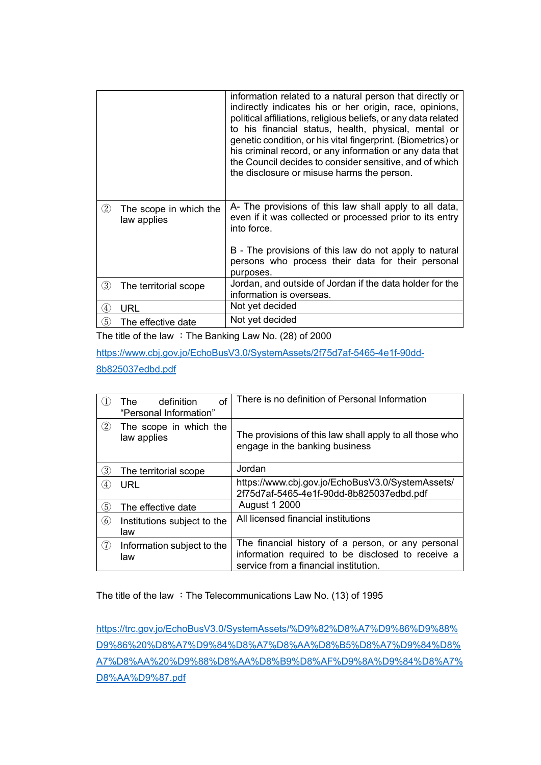|                   |                                       | information related to a natural person that directly or<br>indirectly indicates his or her origin, race, opinions,<br>political affiliations, religious beliefs, or any data related<br>to his financial status, health, physical, mental or<br>genetic condition, or his vital fingerprint. (Biometrics) or<br>his criminal record, or any information or any data that<br>the Council decides to consider sensitive, and of which<br>the disclosure or misuse harms the person. |
|-------------------|---------------------------------------|------------------------------------------------------------------------------------------------------------------------------------------------------------------------------------------------------------------------------------------------------------------------------------------------------------------------------------------------------------------------------------------------------------------------------------------------------------------------------------|
| $\left( 2\right)$ | The scope in which the<br>law applies | A- The provisions of this law shall apply to all data,<br>even if it was collected or processed prior to its entry<br>into force.                                                                                                                                                                                                                                                                                                                                                  |
|                   |                                       | B - The provisions of this law do not apply to natural<br>persons who process their data for their personal<br>purposes.                                                                                                                                                                                                                                                                                                                                                           |
| (3)               | The territorial scope                 | Jordan, and outside of Jordan if the data holder for the<br>information is overseas.                                                                                                                                                                                                                                                                                                                                                                                               |
| $\left( 4\right)$ | URL                                   | Not yet decided                                                                                                                                                                                                                                                                                                                                                                                                                                                                    |
| 5)                | The effective date                    | Not yet decided                                                                                                                                                                                                                                                                                                                                                                                                                                                                    |

The title of the law  $\div$  The Banking Law No. (28) of 2000

[https://www.cbj.gov.jo/EchoBusV3.0/SystemAssets/2f75d7af-5465-4e1f-90dd-](https://www.cbj.gov.jo/EchoBusV3.0/SystemAssets/2f75d7af-5465-4e1f-90dd-8b825037edbd.pdf)[8b825037edbd.pdf](https://www.cbj.gov.jo/EchoBusV3.0/SystemAssets/2f75d7af-5465-4e1f-90dd-8b825037edbd.pdf)

| $\left(1\right)$ | οf<br>definition<br>The<br>"Personal Information" | There is no definition of Personal Information                                                                                                   |
|------------------|---------------------------------------------------|--------------------------------------------------------------------------------------------------------------------------------------------------|
| (2)              | The scope in which the<br>law applies             | The provisions of this law shall apply to all those who<br>engage in the banking business                                                        |
| 3)               | The territorial scope                             | Jordan                                                                                                                                           |
| (4)              | URL                                               | https://www.cbj.gov.jo/EchoBusV3.0/SystemAssets/<br>2f75d7af-5465-4e1f-90dd-8b825037edbd.pdf                                                     |
| (5)              | The effective date                                | <b>August 1 2000</b>                                                                                                                             |
| $\circledS$      | Institutions subject to the<br>law                | All licensed financial institutions                                                                                                              |
| (7)              | Information subject to the<br>law                 | The financial history of a person, or any personal<br>information required to be disclosed to receive a<br>service from a financial institution. |

The title of the law  $\div$  The Telecommunications Law No. (13) of 1995

[https://trc.gov.jo/EchoBusV3.0/SystemAssets/%D9%82%D8%A7%D9%86%D9%88%](https://trc.gov.jo/EchoBusV3.0/SystemAssets/%D9%82%D8%A7%D9%86%D9%88%D9%86%20%D8%A7%D9%84%D8%A7%D8%AA%D8%B5%D8%A7%D9%84%D8%A7%D8%AA%20%D9%88%D8%AA%D8%B9%D8%AF%D9%8A%D9%84%D8%A7%D8%AA%D9%87.pdf) [D9%86%20%D8%A7%D9%84%D8%A7%D8%AA%D8%B5%D8%A7%D9%84%D8%](https://trc.gov.jo/EchoBusV3.0/SystemAssets/%D9%82%D8%A7%D9%86%D9%88%D9%86%20%D8%A7%D9%84%D8%A7%D8%AA%D8%B5%D8%A7%D9%84%D8%A7%D8%AA%20%D9%88%D8%AA%D8%B9%D8%AF%D9%8A%D9%84%D8%A7%D8%AA%D9%87.pdf) [A7%D8%AA%20%D9%88%D8%AA%D8%B9%D8%AF%D9%8A%D9%84%D8%A7%](https://trc.gov.jo/EchoBusV3.0/SystemAssets/%D9%82%D8%A7%D9%86%D9%88%D9%86%20%D8%A7%D9%84%D8%A7%D8%AA%D8%B5%D8%A7%D9%84%D8%A7%D8%AA%20%D9%88%D8%AA%D8%B9%D8%AF%D9%8A%D9%84%D8%A7%D8%AA%D9%87.pdf) [D8%AA%D9%87.pdf](https://trc.gov.jo/EchoBusV3.0/SystemAssets/%D9%82%D8%A7%D9%86%D9%88%D9%86%20%D8%A7%D9%84%D8%A7%D8%AA%D8%B5%D8%A7%D9%84%D8%A7%D8%AA%20%D9%88%D8%AA%D8%B9%D8%AF%D9%8A%D9%84%D8%A7%D8%AA%D9%87.pdf)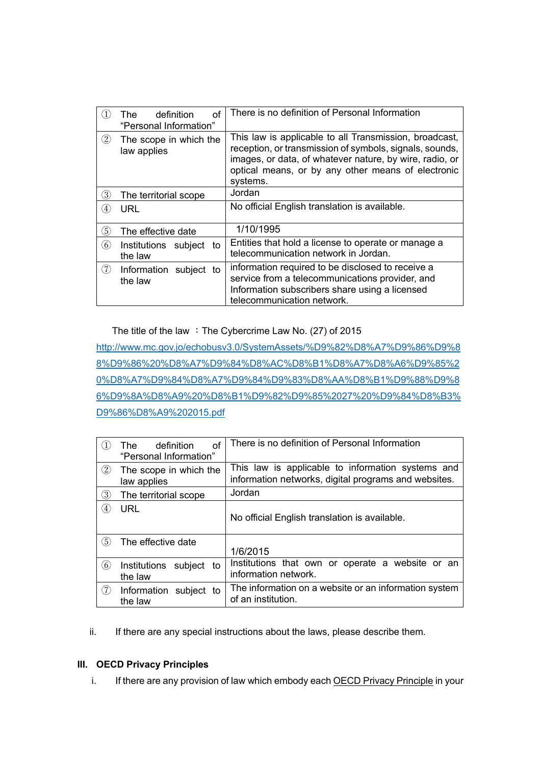|                   | definition<br>οf<br>The<br>"Personal Information" | There is no definition of Personal Information                                                                                                                                                                                                 |
|-------------------|---------------------------------------------------|------------------------------------------------------------------------------------------------------------------------------------------------------------------------------------------------------------------------------------------------|
| $\circled{2}$     | The scope in which the<br>law applies             | This law is applicable to all Transmission, broadcast,<br>reception, or transmission of symbols, signals, sounds,<br>images, or data, of whatever nature, by wire, radio, or<br>optical means, or by any other means of electronic<br>systems. |
| 3)                | The territorial scope                             | Jordan                                                                                                                                                                                                                                         |
| $\left( 4\right)$ | <b>URL</b>                                        | No official English translation is available.                                                                                                                                                                                                  |
| 5)                | The effective date                                | 1/10/1995                                                                                                                                                                                                                                      |
| 6                 | Institutions subject to<br>the law                | Entities that hold a license to operate or manage a<br>telecommunication network in Jordan.                                                                                                                                                    |
| (7)               | Information subject to<br>the law                 | information required to be disclosed to receive a<br>service from a telecommunications provider, and<br>Information subscribers share using a licensed<br>telecommunication network.                                                           |

The title of the law : The Cybercrime Law No. (27) of 2015

[http://www.mc.gov.jo/echobusv3.0/SystemAssets/%D9%82%D8%A7%D9%86%D9%8](http://www.mc.gov.jo/echobusv3.0/SystemAssets/%D9%82%D8%A7%D9%86%D9%88%D9%86%20%D8%A7%D9%84%D8%AC%D8%B1%D8%A7%D8%A6%D9%85%20%D8%A7%D9%84%D8%A7%D9%84%D9%83%D8%AA%D8%B1%D9%88%D9%86%D9%8A%D8%A9%20%D8%B1%D9%82%D9%85%2027%20%D9%84%D8%B3%D9%86%D8%A9%202015.pdf) [8%D9%86%20%D8%A7%D9%84%D8%AC%D8%B1%D8%A7%D8%A6%D9%85%2](http://www.mc.gov.jo/echobusv3.0/SystemAssets/%D9%82%D8%A7%D9%86%D9%88%D9%86%20%D8%A7%D9%84%D8%AC%D8%B1%D8%A7%D8%A6%D9%85%20%D8%A7%D9%84%D8%A7%D9%84%D9%83%D8%AA%D8%B1%D9%88%D9%86%D9%8A%D8%A9%20%D8%B1%D9%82%D9%85%2027%20%D9%84%D8%B3%D9%86%D8%A9%202015.pdf) [0%D8%A7%D9%84%D8%A7%D9%84%D9%83%D8%AA%D8%B1%D9%88%D9%8](http://www.mc.gov.jo/echobusv3.0/SystemAssets/%D9%82%D8%A7%D9%86%D9%88%D9%86%20%D8%A7%D9%84%D8%AC%D8%B1%D8%A7%D8%A6%D9%85%20%D8%A7%D9%84%D8%A7%D9%84%D9%83%D8%AA%D8%B1%D9%88%D9%86%D9%8A%D8%A9%20%D8%B1%D9%82%D9%85%2027%20%D9%84%D8%B3%D9%86%D8%A9%202015.pdf) [6%D9%8A%D8%A9%20%D8%B1%D9%82%D9%85%2027%20%D9%84%D8%B3%](http://www.mc.gov.jo/echobusv3.0/SystemAssets/%D9%82%D8%A7%D9%86%D9%88%D9%86%20%D8%A7%D9%84%D8%AC%D8%B1%D8%A7%D8%A6%D9%85%20%D8%A7%D9%84%D8%A7%D9%84%D9%83%D8%AA%D8%B1%D9%88%D9%86%D9%8A%D8%A9%20%D8%B1%D9%82%D9%85%2027%20%D9%84%D8%B3%D9%86%D8%A9%202015.pdf) [D9%86%D8%A9%202015.pdf](http://www.mc.gov.jo/echobusv3.0/SystemAssets/%D9%82%D8%A7%D9%86%D9%88%D9%86%20%D8%A7%D9%84%D8%AC%D8%B1%D8%A7%D8%A6%D9%85%20%D8%A7%D9%84%D8%A7%D9%84%D9%83%D8%AA%D8%B1%D9%88%D9%86%D9%8A%D8%A9%20%D8%B1%D9%82%D9%85%2027%20%D9%84%D8%B3%D9%86%D8%A9%202015.pdf)

| (1)               | definition<br>οf<br>The<br>"Personal Information" | There is no definition of Personal Information                                                            |  |  |
|-------------------|---------------------------------------------------|-----------------------------------------------------------------------------------------------------------|--|--|
| $\circled{2}$     | The scope in which the<br>law applies             | This law is applicable to information systems and<br>information networks, digital programs and websites. |  |  |
| $\circled{3}$     | The territorial scope                             | Jordan                                                                                                    |  |  |
| (4)               | URL                                               | No official English translation is available.                                                             |  |  |
| $\circledS$       | The effective date                                | 1/6/2015                                                                                                  |  |  |
| (6)               | Institutions subject to<br>the law                | Institutions that own or operate a website or an<br>information network.                                  |  |  |
| $\left( 7\right)$ | Information subject to<br>the law                 | The information on a website or an information system<br>of an institution.                               |  |  |

ii. If there are any special instructions about the laws, please describe them.

# **III. OECD Privacy Principles**

i. If there are any provision of law which embody each OECD Privacy Principle in your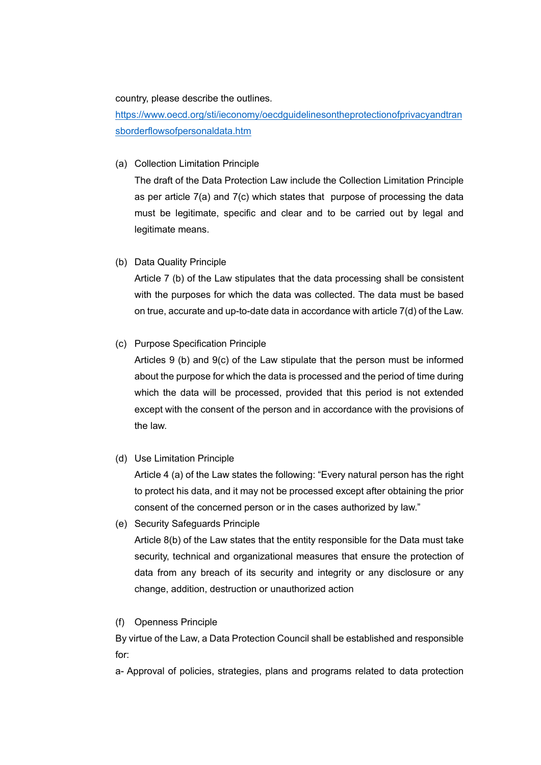#### country, please describe the outlines.

[https://www.oecd.org/sti/ieconomy/oecdguidelinesontheprotectionofprivacyandtran](https://www.oecd.org/sti/ieconomy/oecdguidelinesontheprotectionofprivacyandtransborderflowsofpersonaldata.htm) [sborderflowsofpersonaldata.htm](https://www.oecd.org/sti/ieconomy/oecdguidelinesontheprotectionofprivacyandtransborderflowsofpersonaldata.htm)

(a) Collection Limitation Principle

The draft of the Data Protection Law include the Collection Limitation Principle as per article 7(a) and 7(c) which states that purpose of processing the data must be legitimate, specific and clear and to be carried out by legal and legitimate means.

(b) Data Quality Principle

Article 7 (b) of the Law stipulates that the data processing shall be consistent with the purposes for which the data was collected. The data must be based on true, accurate and up-to-date data in accordance with article 7(d) of the Law.

(c) Purpose Specification Principle

Articles 9 (b) and 9(c) of the Law stipulate that the person must be informed about the purpose for which the data is processed and the period of time during which the data will be processed, provided that this period is not extended except with the consent of the person and in accordance with the provisions of the law.

(d) Use Limitation Principle

Article 4 (a) of the Law states the following: "Every natural person has the right to protect his data, and it may not be processed except after obtaining the prior consent of the concerned person or in the cases authorized by law."

- (e) Security Safeguards Principle Article 8(b) of the Law states that the entity responsible for the Data must take security, technical and organizational measures that ensure the protection of data from any breach of its security and integrity or any disclosure or any change, addition, destruction or unauthorized action
- (f) Openness Principle

By virtue of the Law, a Data Protection Council shall be established and responsible for:

a- Approval of policies, strategies, plans and programs related to data protection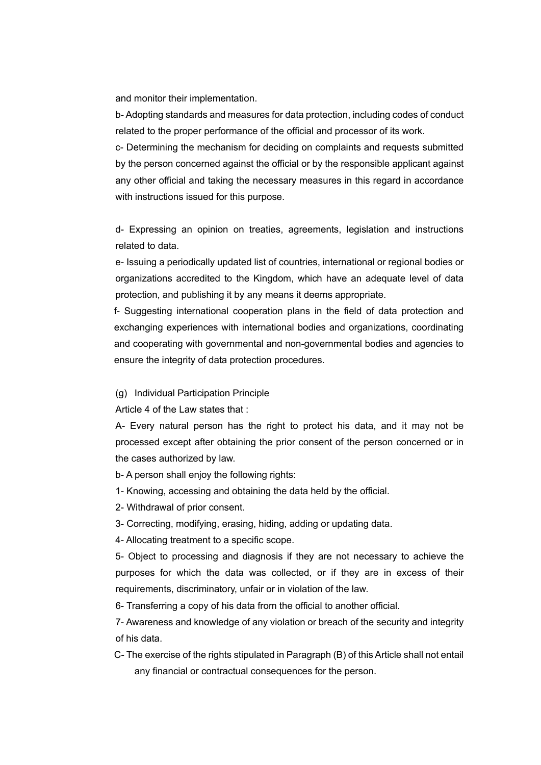and monitor their implementation.

b- Adopting standards and measures for data protection, including codes of conduct related to the proper performance of the official and processor of its work.

c- Determining the mechanism for deciding on complaints and requests submitted by the person concerned against the official or by the responsible applicant against any other official and taking the necessary measures in this regard in accordance with instructions issued for this purpose.

d- Expressing an opinion on treaties, agreements, legislation and instructions related to data.

e- Issuing a periodically updated list of countries, international or regional bodies or organizations accredited to the Kingdom, which have an adequate level of data protection, and publishing it by any means it deems appropriate.

f- Suggesting international cooperation plans in the field of data protection and exchanging experiences with international bodies and organizations, coordinating and cooperating with governmental and non-governmental bodies and agencies to ensure the integrity of data protection procedures.

## (g) Individual Participation Principle

Article 4 of the Law states that :

A- Every natural person has the right to protect his data, and it may not be processed except after obtaining the prior consent of the person concerned or in the cases authorized by law.

b- A person shall enjoy the following rights:

1- Knowing, accessing and obtaining the data held by the official.

2- Withdrawal of prior consent.

3- Correcting, modifying, erasing, hiding, adding or updating data.

4- Allocating treatment to a specific scope.

5- Object to processing and diagnosis if they are not necessary to achieve the purposes for which the data was collected, or if they are in excess of their requirements, discriminatory, unfair or in violation of the law.

6- Transferring a copy of his data from the official to another official.

7- Awareness and knowledge of any violation or breach of the security and integrity of his data.

C- The exercise of the rights stipulated in Paragraph (B) of this Article shall not entail any financial or contractual consequences for the person.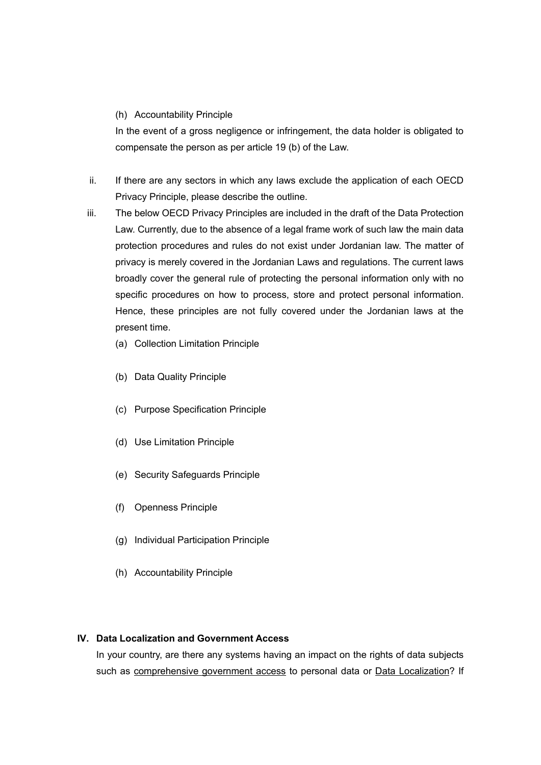### (h) Accountability Principle

In the event of a gross negligence or infringement, the data holder is obligated to compensate the person as per article 19 (b) of the Law.

- ii. If there are any sectors in which any laws exclude the application of each OECD Privacy Principle, please describe the outline.
- iii. The below OECD Privacy Principles are included in the draft of the Data Protection Law. Currently, due to the absence of a legal frame work of such law the main data protection procedures and rules do not exist under Jordanian law. The matter of privacy is merely covered in the Jordanian Laws and regulations. The current laws broadly cover the general rule of protecting the personal information only with no specific procedures on how to process, store and protect personal information. Hence, these principles are not fully covered under the Jordanian laws at the present time.
	- (a) Collection Limitation Principle
	- (b) Data Quality Principle
	- (c) Purpose Specification Principle
	- (d) Use Limitation Principle
	- (e) Security Safeguards Principle
	- (f) Openness Principle
	- (g) Individual Participation Principle
	- (h) Accountability Principle

# **IV. Data Localization and Government Access**

In your country, are there any systems having an impact on the rights of data subjects such as comprehensive government access to personal data or Data Localization? If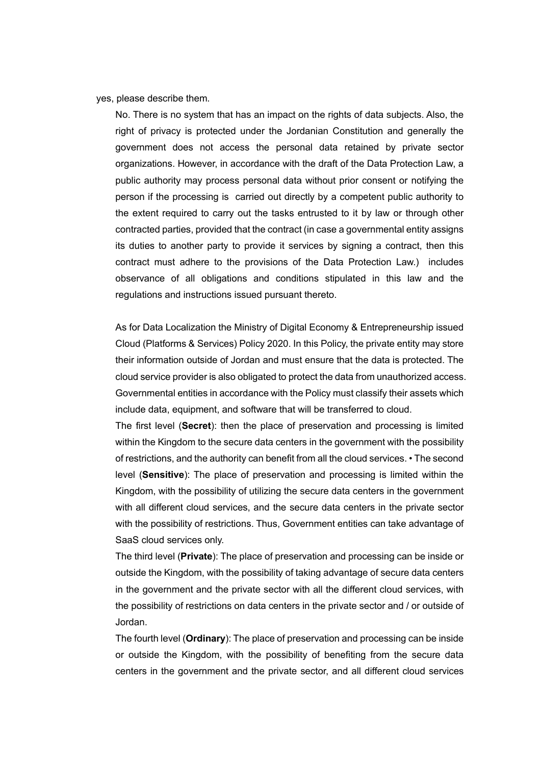#### yes, please describe them.

No. There is no system that has an impact on the rights of data subjects. Also, the right of privacy is protected under the Jordanian Constitution and generally the government does not access the personal data retained by private sector organizations. However, in accordance with the draft of the Data Protection Law, a public authority may process personal data without prior consent or notifying the person if the processing is carried out directly by a competent public authority to the extent required to carry out the tasks entrusted to it by law or through other contracted parties, provided that the contract (in case a governmental entity assigns its duties to another party to provide it services by signing a contract, then this contract must adhere to the provisions of the Data Protection Law.) includes observance of all obligations and conditions stipulated in this law and the regulations and instructions issued pursuant thereto.

As for Data Localization the Ministry of Digital Economy & Entrepreneurship issued Cloud (Platforms & Services) Policy 2020. In this Policy, the private entity may store their information outside of Jordan and must ensure that the data is protected. The cloud service provider is also obligated to protect the data from unauthorized access. Governmental entities in accordance with the Policy must classify their assets which include data, equipment, and software that will be transferred to cloud.

The first level (**Secret**): then the place of preservation and processing is limited within the Kingdom to the secure data centers in the government with the possibility of restrictions, and the authority can benefit from all the cloud services. • The second level (**Sensitive**): The place of preservation and processing is limited within the Kingdom, with the possibility of utilizing the secure data centers in the government with all different cloud services, and the secure data centers in the private sector with the possibility of restrictions. Thus, Government entities can take advantage of SaaS cloud services only.

The third level (**Private**): The place of preservation and processing can be inside or outside the Kingdom, with the possibility of taking advantage of secure data centers in the government and the private sector with all the different cloud services, with the possibility of restrictions on data centers in the private sector and / or outside of Jordan.

The fourth level (**Ordinary**): The place of preservation and processing can be inside or outside the Kingdom, with the possibility of benefiting from the secure data centers in the government and the private sector, and all different cloud services